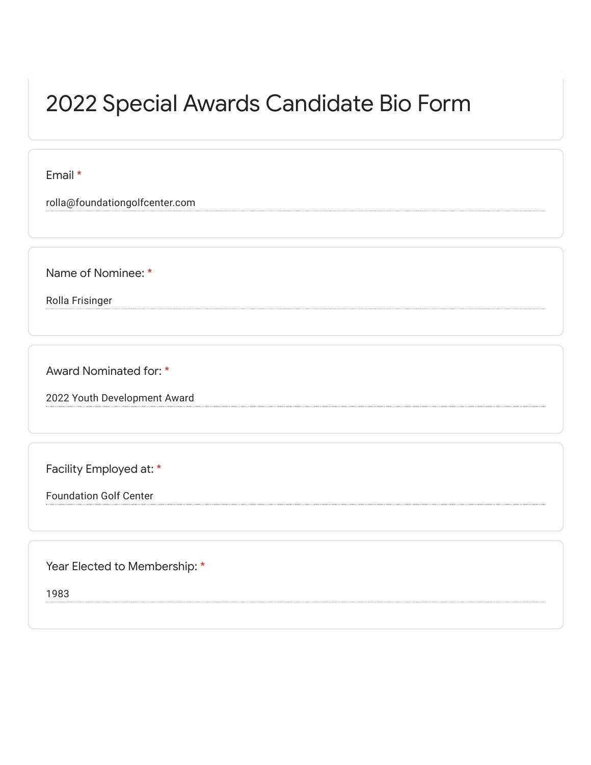## 2022 Special Awards Candidate Bio Form

Email \*

rolla@foundationgolfcenter.com

Name of Nominee: \*

Rolla Frisinger

Award Nominated for: \*

2022 Youth Development Award

Facility Employed at: \*

Foundation Golf Center

Year Elected to Membership: \*

1983